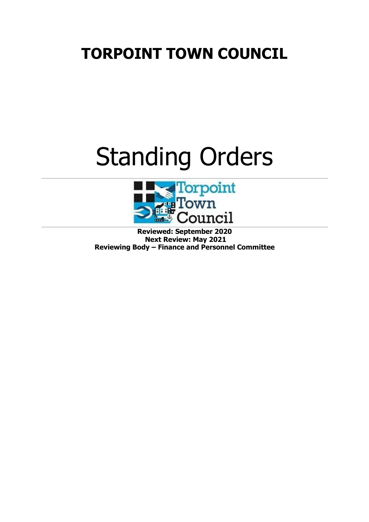# **TORPOINT TOWN COUNCIL**

# Standing Orders



**Reviewed: September 2020 Next Review: May 2021 Reviewing Body – Finance and Personnel Committee**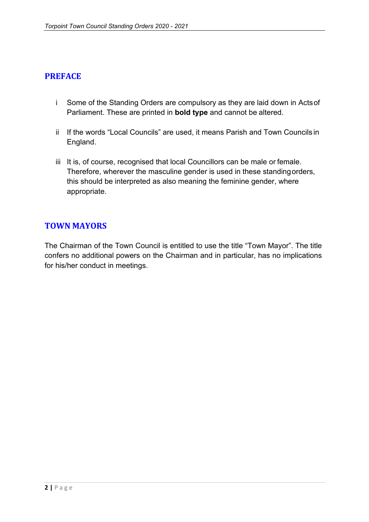# <span id="page-1-0"></span>**PREFACE**

- i Some of the Standing Orders are compulsory as they are laid down in Actsof Parliament. These are printed in **bold type** and cannot be altered.
- ii If the words "Local Councils" are used, it means Parish and Town Councils in England.
- iii It is, of course, recognised that local Councillors can be male or female. Therefore, wherever the masculine gender is used in these standingorders, this should be interpreted as also meaning the feminine gender, where appropriate.

# <span id="page-1-1"></span>**TOWN MAYORS**

The Chairman of the Town Council is entitled to use the title "Town Mayor". The title confers no additional powers on the Chairman and in particular, has no implications for his/her conduct in meetings.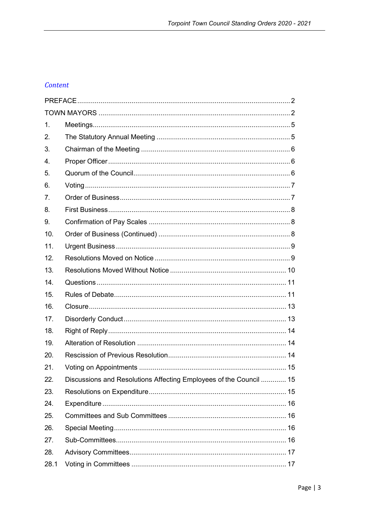# Content

| $\mathbf 1$ |                                                                    |  |  |
|-------------|--------------------------------------------------------------------|--|--|
| 2.          |                                                                    |  |  |
| 3.          |                                                                    |  |  |
| 4.          |                                                                    |  |  |
| 5.          |                                                                    |  |  |
| 6.          |                                                                    |  |  |
| 7.          |                                                                    |  |  |
| 8.          |                                                                    |  |  |
| 9.          |                                                                    |  |  |
| 10.         |                                                                    |  |  |
| 11.         |                                                                    |  |  |
| 12.         |                                                                    |  |  |
| 13.         |                                                                    |  |  |
| 14.         |                                                                    |  |  |
| 15.         |                                                                    |  |  |
| 16.         |                                                                    |  |  |
| 17.         |                                                                    |  |  |
| 18.         |                                                                    |  |  |
| 19.         |                                                                    |  |  |
| 20.         |                                                                    |  |  |
| 21.         |                                                                    |  |  |
| 22.         | Discussions and Resolutions Affecting Employees of the Council  15 |  |  |
| 23.         |                                                                    |  |  |
| 24.         |                                                                    |  |  |
| 25.         |                                                                    |  |  |
| 26.         |                                                                    |  |  |
| 27.         |                                                                    |  |  |
| 28.         |                                                                    |  |  |
| 28.1        |                                                                    |  |  |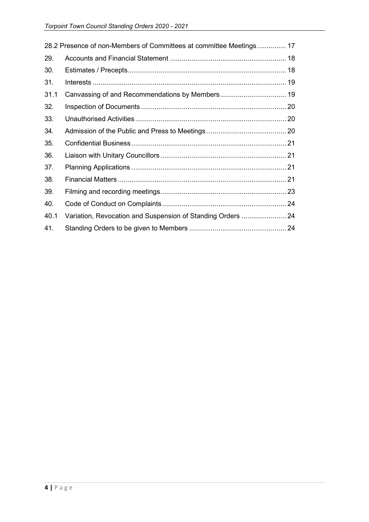| 28.2 Presence of non-Members of Committees at committee Meetings 17 |                                                             |  |  |
|---------------------------------------------------------------------|-------------------------------------------------------------|--|--|
| 29.                                                                 |                                                             |  |  |
| 30.                                                                 |                                                             |  |  |
| 31.                                                                 |                                                             |  |  |
| 31.1                                                                |                                                             |  |  |
| 32.                                                                 |                                                             |  |  |
| 33.                                                                 |                                                             |  |  |
| 34.                                                                 |                                                             |  |  |
| 35.                                                                 |                                                             |  |  |
| 36.                                                                 |                                                             |  |  |
| 37.                                                                 |                                                             |  |  |
| 38.                                                                 |                                                             |  |  |
| 39.                                                                 |                                                             |  |  |
| 40.                                                                 |                                                             |  |  |
| 40.1                                                                | Variation, Revocation and Suspension of Standing Orders  24 |  |  |
| 41.                                                                 |                                                             |  |  |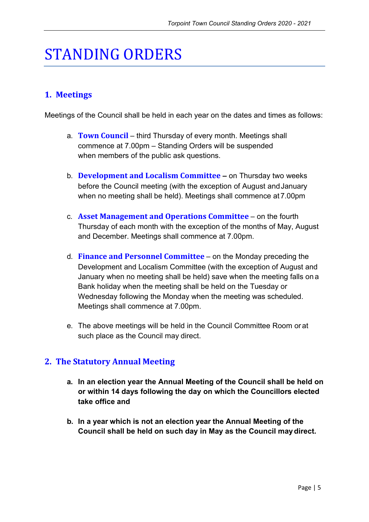# STANDING ORDERS

# <span id="page-4-0"></span>**1. Meetings**

Meetings of the Council shall be held in each year on the dates and times as follows:

- a. **Town Council**  third Thursday of every month. Meetings shall commence at 7.00pm – Standing Orders will be suspended when members of the public ask questions.
- b. **Development and Localism Committee –** on Thursday two weeks before the Council meeting (with the exception of August andJanuary when no meeting shall be held). Meetings shall commence at 7.00pm
- c. **Asset Management and Operations Committee**  on the fourth Thursday of each month with the exception of the months of May, August and December. Meetings shall commence at 7.00pm.
- d. **Finance and Personnel Committee**  on the Monday preceding the Development and Localism Committee (with the exception of August and January when no meeting shall be held) save when the meeting falls on a Bank holiday when the meeting shall be held on the Tuesday or Wednesday following the Monday when the meeting was scheduled. Meetings shall commence at 7.00pm.
- e. The above meetings will be held in the Council Committee Room orat such place as the Council may direct.

#### <span id="page-4-1"></span>**2. The Statutory Annual Meeting**

- **a. In an election year the Annual Meeting of the Council shall be held on or within 14 days following the day on which the Councillors elected take office and**
- **b. In a year which is not an election year the Annual Meeting of the Council shall be held on such day in May as the Council may direct.**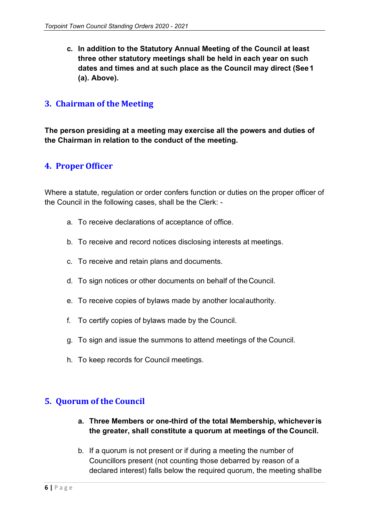**c. In addition to the Statutory Annual Meeting of the Council at least three other statutory meetings shall be held in each year on such dates and times and at such place as the Council may direct (See1 (a). Above).**

# <span id="page-5-0"></span>**3. Chairman of the Meeting**

**The person presiding at a meeting may exercise all the powers and duties of the Chairman in relation to the conduct of the meeting.**

# <span id="page-5-1"></span>**4. Proper Officer**

Where a statute, regulation or order confers function or duties on the proper officer of the Council in the following cases, shall be the Clerk: -

- a. To receive declarations of acceptance of office.
- b. To receive and record notices disclosing interests at meetings.
- c. To receive and retain plans and documents.
- d. To sign notices or other documents on behalf of theCouncil.
- e. To receive copies of bylaws made by another localauthority.
- f. To certify copies of bylaws made by the Council.
- g. To sign and issue the summons to attend meetings of the Council.
- h. To keep records for Council meetings.

# <span id="page-5-2"></span>**5. Quorum of the Council**

- **a. Three Members or one-third of the total Membership, whicheveris the greater, shall constitute a quorum at meetings of the Council.**
- b. If a quorum is not present or if during a meeting the number of Councillors present (not counting those debarred by reason of a declared interest) falls below the required quorum, the meeting shallbe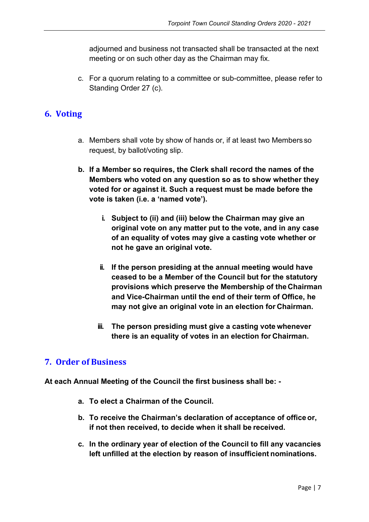adjourned and business not transacted shall be transacted at the next meeting or on such other day as the Chairman may fix.

c. For a quorum relating to a committee or sub-committee, please refer to Standing Order 27 (c).

#### <span id="page-6-0"></span>**6. Voting**

- a. Members shall vote by show of hands or, if at least two Members so request, by ballot/voting slip.
- **b. If a Member so requires, the Clerk shall record the names of the Members who voted on any question so as to show whether they voted for or against it. Such a request must be made before the vote is taken (i.e. a 'named vote').**
	- **i. Subject to (ii) and (iii) below the Chairman may give an original vote on any matter put to the vote, and in any case of an equality of votes may give a casting vote whether or not he gave an original vote.**
	- **ii. If the person presiding at the annual meeting would have ceased to be a Member of the Council but for the statutory provisions which preserve the Membership of the Chairman and Vice-Chairman until the end of their term of Office, he may not give an original vote in an election for Chairman.**
	- **iii. The person presiding must give a casting vote whenever there is an equality of votes in an election for Chairman.**

#### <span id="page-6-1"></span>**7. Order of Business**

**At each Annual Meeting of the Council the first business shall be: -**

- **a. To elect a Chairman of the Council.**
- **b. To receive the Chairman's declaration of acceptance of office or, if not then received, to decide when it shall be received.**
- **c. In the ordinary year of election of the Council to fill any vacancies left unfilled at the election by reason of insufficient nominations.**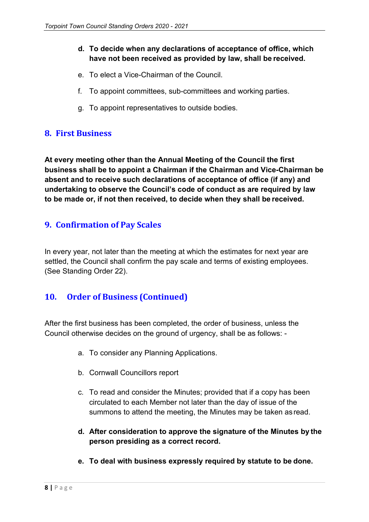#### **d. To decide when any declarations of acceptance of office, which have not been received as provided by law, shall be received.**

- e. To elect a Vice-Chairman of the Council.
- f. To appoint committees, sub-committees and working parties.
- g. To appoint representatives to outside bodies.

# <span id="page-7-0"></span>**8. First Business**

**At every meeting other than the Annual Meeting of the Council the first business shall be to appoint a Chairman if the Chairman and Vice-Chairman be absent and to receive such declarations of acceptance of office (if any) and undertaking to observe the Council's code of conduct as are required by law to be made or, if not then received, to decide when they shall be received.**

#### <span id="page-7-1"></span>**9. Confirmation of Pay Scales**

In every year, not later than the meeting at which the estimates for next year are settled, the Council shall confirm the pay scale and terms of existing employees. (See Standing Order 22).

#### <span id="page-7-2"></span>**10. Order of Business (Continued)**

After the first business has been completed, the order of business, unless the Council otherwise decides on the ground of urgency, shall be as follows: -

- a. To consider any Planning Applications.
- b. Cornwall Councillors report
- c. To read and consider the Minutes; provided that if a copy has been circulated to each Member not later than the day of issue of the summons to attend the meeting, the Minutes may be taken as read.
- **d. After consideration to approve the signature of the Minutes by the person presiding as a correct record.**
- **e. To deal with business expressly required by statute to be done.**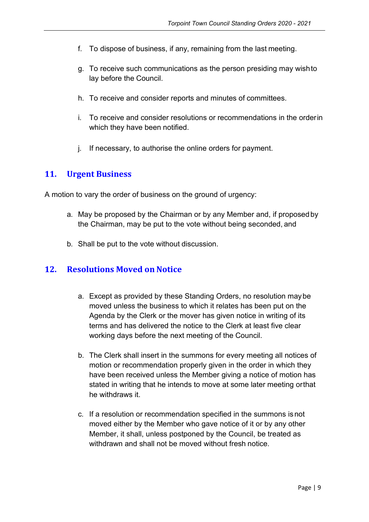- f. To dispose of business, if any, remaining from the last meeting.
- g. To receive such communications as the person presiding may wishto lay before the Council.
- h. To receive and consider reports and minutes of committees.
- i. To receive and consider resolutions or recommendations in the orderin which they have been notified.
- j. If necessary, to authorise the online orders for payment.

#### <span id="page-8-0"></span>**11. Urgent Business**

A motion to vary the order of business on the ground of urgency:

- a. May be proposed by the Chairman or by any Member and, if proposedby the Chairman, may be put to the vote without being seconded, and
- b. Shall be put to the vote without discussion.

#### <span id="page-8-1"></span>**12. Resolutions Moved on Notice**

- a. Except as provided by these Standing Orders, no resolution maybe moved unless the business to which it relates has been put on the Agenda by the Clerk or the mover has given notice in writing of its terms and has delivered the notice to the Clerk at least five clear working days before the next meeting of the Council.
- b. The Clerk shall insert in the summons for every meeting all notices of motion or recommendation properly given in the order in which they have been received unless the Member giving a notice of motion has stated in writing that he intends to move at some later meeting orthat he withdraws it.
- c. If a resolution or recommendation specified in the summons isnot moved either by the Member who gave notice of it or by any other Member, it shall, unless postponed by the Council, be treated as withdrawn and shall not be moved without fresh notice.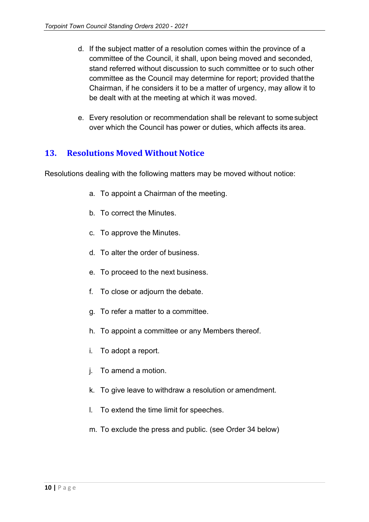- d. If the subject matter of a resolution comes within the province of a committee of the Council, it shall, upon being moved and seconded, stand referred without discussion to such committee or to such other committee as the Council may determine for report; provided thatthe Chairman, if he considers it to be a matter of urgency, may allow it to be dealt with at the meeting at which it was moved.
- e. Every resolution or recommendation shall be relevant to somesubject over which the Council has power or duties, which affects its area.

# <span id="page-9-0"></span>**13. Resolutions Moved Without Notice**

Resolutions dealing with the following matters may be moved without notice:

- a. To appoint a Chairman of the meeting.
- b. To correct the Minutes.
- c. To approve the Minutes.
- d. To alter the order of business.
- e. To proceed to the next business.
- f. To close or adjourn the debate.
- g. To refer a matter to a committee.
- h. To appoint a committee or any Members thereof.
- i. To adopt a report.
- j. To amend a motion.
- k. To give leave to withdraw a resolution or amendment.
- l. To extend the time limit for speeches.
- m. To exclude the press and public. (see Order 34 below)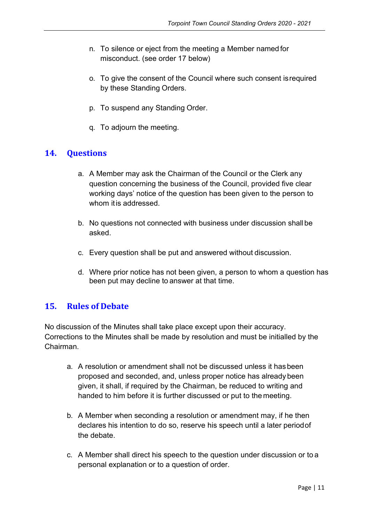- n. To silence or eject from the meeting a Member named for misconduct. (see order 17 below)
- o. To give the consent of the Council where such consent isrequired by these Standing Orders.
- p. To suspend any Standing Order.
- q. To adjourn the meeting.

#### <span id="page-10-0"></span>**14. Questions**

- a. A Member may ask the Chairman of the Council or the Clerk any question concerning the business of the Council, provided five clear working days' notice of the question has been given to the person to whom itis addressed.
- b. No questions not connected with business under discussion shallbe asked.
- c. Every question shall be put and answered without discussion.
- d. Where prior notice has not been given, a person to whom a question has been put may decline to answer at that time.

#### <span id="page-10-1"></span>**15. Rules of Debate**

No discussion of the Minutes shall take place except upon their accuracy. Corrections to the Minutes shall be made by resolution and must be initialled by the Chairman.

- a. A resolution or amendment shall not be discussed unless it hasbeen proposed and seconded, and, unless proper notice has already been given, it shall, if required by the Chairman, be reduced to writing and handed to him before it is further discussed or put to the meeting.
- b. A Member when seconding a resolution or amendment may, if he then declares his intention to do so, reserve his speech until a later periodof the debate.
- c. A Member shall direct his speech to the question under discussion or to a personal explanation or to a question of order.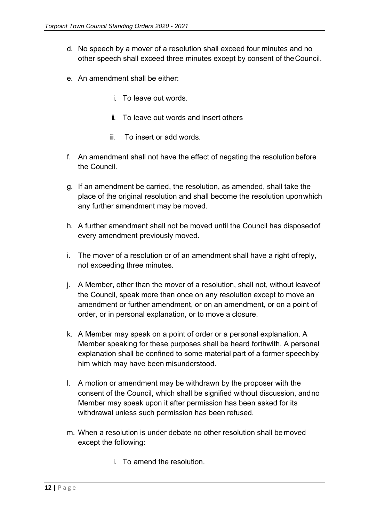- d. No speech by a mover of a resolution shall exceed four minutes and no other speech shall exceed three minutes except by consent of theCouncil.
- e. An amendment shall be either:
	- i. To leave out words.
	- ii. To leave out words and insert others
	- iii. To insert or add words.
- f. An amendment shall not have the effect of negating the resolutionbefore the Council.
- g. If an amendment be carried, the resolution, as amended, shall take the place of the original resolution and shall become the resolution uponwhich any further amendment may be moved.
- h. A further amendment shall not be moved until the Council has disposedof every amendment previously moved.
- i. The mover of a resolution or of an amendment shall have a right ofreply, not exceeding three minutes.
- j. A Member, other than the mover of a resolution, shall not, without leaveof the Council, speak more than once on any resolution except to move an amendment or further amendment, or on an amendment, or on a point of order, or in personal explanation, or to move a closure.
- k. A Member may speak on a point of order or a personal explanation. A Member speaking for these purposes shall be heard forthwith. A personal explanation shall be confined to some material part of a former speech by him which may have been misunderstood.
- l. A motion or amendment may be withdrawn by the proposer with the consent of the Council, which shall be signified without discussion, andno Member may speak upon it after permission has been asked for its withdrawal unless such permission has been refused.
- m. When a resolution is under debate no other resolution shall bemoved except the following:
	- i. To amend the resolution.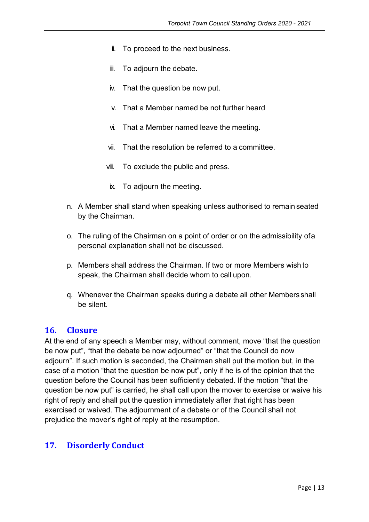- ii. To proceed to the next business.
- iii. To adjourn the debate.
- iv. That the question be now put.
- v. That a Member named be not further heard
- vi. That a Member named leave the meeting.
- vii. That the resolution be referred to a committee.
- viii. To exclude the public and press.
	- ix. To adjourn the meeting.
- n. A Member shall stand when speaking unless authorised to remain seated by the Chairman.
- o. The ruling of the Chairman on a point of order or on the admissibility ofa personal explanation shall not be discussed.
- p. Members shall address the Chairman. If two or more Members wish to speak, the Chairman shall decide whom to call upon.
- q. Whenever the Chairman speaks during a debate all other Members shall be silent.

#### <span id="page-12-0"></span>**16. Closure**

At the end of any speech a Member may, without comment, move "that the question be now put", "that the debate be now adjourned" or "that the Council do now adjourn". If such motion is seconded, the Chairman shall put the motion but, in the case of a motion "that the question be now put", only if he is of the opinion that the question before the Council has been sufficiently debated. If the motion "that the question be now put" is carried, he shall call upon the mover to exercise or waive his right of reply and shall put the question immediately after that right has been exercised or waived. The adjournment of a debate or of the Council shall not prejudice the mover's right of reply at the resumption.

#### <span id="page-12-1"></span>**17. Disorderly Conduct**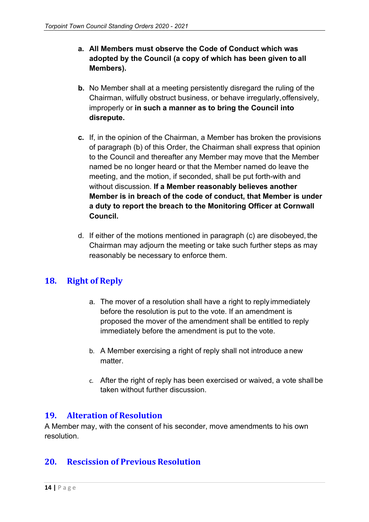- **a. All Members must observe the Code of Conduct which was adopted by the Council (a copy of which has been given to all Members).**
- **b.** No Member shall at a meeting persistently disregard the ruling of the Chairman, wilfully obstruct business, or behave irregularly,offensively, improperly or **in such a manner as to bring the Council into disrepute.**
- **c.** If, in the opinion of the Chairman, a Member has broken the provisions of paragraph (b) of this Order, the Chairman shall express that opinion to the Council and thereafter any Member may move that the Member named be no longer heard or that the Member named do leave the meeting, and the motion, if seconded, shall be put forth-with and without discussion. **If a Member reasonably believes another Member is in breach of the code of conduct, that Member is under a duty to report the breach to the Monitoring Officer at Cornwall Council.**
- d. If either of the motions mentioned in paragraph (c) are disobeyed, the Chairman may adjourn the meeting or take such further steps as may reasonably be necessary to enforce them.

# <span id="page-13-0"></span>**18. Right of Reply**

- a. The mover of a resolution shall have a right to reply immediately before the resolution is put to the vote. If an amendment is proposed the mover of the amendment shall be entitled to reply immediately before the amendment is put to the vote.
- b. A Member exercising a right of reply shall not introduce a new matter.
- c. After the right of reply has been exercised or waived, a vote shallbe taken without further discussion.

# <span id="page-13-1"></span>**19. Alteration of Resolution**

A Member may, with the consent of his seconder, move amendments to his own resolution.

# <span id="page-13-2"></span>**20. Rescission of Previous Resolution**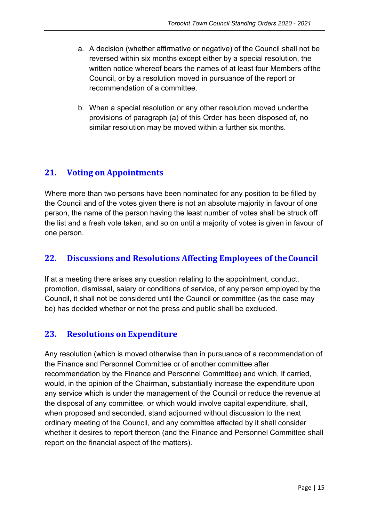- a. A decision (whether affirmative or negative) of the Council shall not be reversed within six months except either by a special resolution, the written notice whereof bears the names of at least four Members ofthe Council, or by a resolution moved in pursuance of the report or recommendation of a committee.
- b. When a special resolution or any other resolution moved underthe provisions of paragraph (a) of this Order has been disposed of, no similar resolution may be moved within a further six months.

# <span id="page-14-0"></span>**21. Voting on Appointments**

Where more than two persons have been nominated for any position to be filled by the Council and of the votes given there is not an absolute majority in favour of one person, the name of the person having the least number of votes shall be struck off the list and a fresh vote taken, and so on until a majority of votes is given in favour of one person.

# <span id="page-14-1"></span>**22. Discussions and Resolutions Affecting Employees of theCouncil**

If at a meeting there arises any question relating to the appointment, conduct, promotion, dismissal, salary or conditions of service, of any person employed by the Council, it shall not be considered until the Council or committee (as the case may be) has decided whether or not the press and public shall be excluded.

#### <span id="page-14-2"></span>**23. Resolutions on Expenditure**

Any resolution (which is moved otherwise than in pursuance of a recommendation of the Finance and Personnel Committee or of another committee after recommendation by the Finance and Personnel Committee) and which, if carried, would, in the opinion of the Chairman, substantially increase the expenditure upon any service which is under the management of the Council or reduce the revenue at the disposal of any committee, or which would involve capital expenditure, shall, when proposed and seconded, stand adjourned without discussion to the next ordinary meeting of the Council, and any committee affected by it shall consider whether it desires to report thereon (and the Finance and Personnel Committee shall report on the financial aspect of the matters).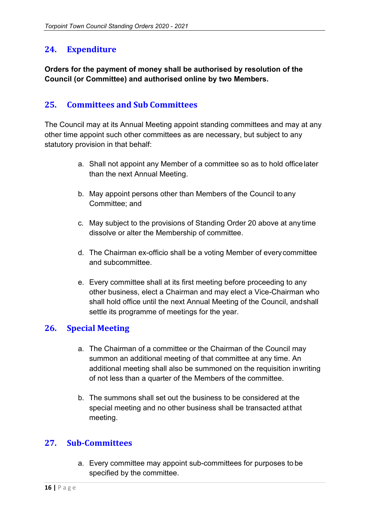# <span id="page-15-0"></span>**24. Expenditure**

**Orders for the payment of money shall be authorised by resolution of the Council (or Committee) and authorised online by two Members.**

# <span id="page-15-1"></span>**25. Committees and Sub Committees**

The Council may at its Annual Meeting appoint standing committees and may at any other time appoint such other committees as are necessary, but subject to any statutory provision in that behalf:

- a. Shall not appoint any Member of a committee so as to hold officelater than the next Annual Meeting.
- b. May appoint persons other than Members of the Council to any Committee; and
- c. May subject to the provisions of Standing Order 20 above at any time dissolve or alter the Membership of committee.
- d. The Chairman ex-officio shall be a voting Member of everycommittee and subcommittee.
- e. Every committee shall at its first meeting before proceeding to any other business, elect a Chairman and may elect a Vice-Chairman who shall hold office until the next Annual Meeting of the Council, andshall settle its programme of meetings for the year.

# <span id="page-15-2"></span>**26. Special Meeting**

- a. The Chairman of a committee or the Chairman of the Council may summon an additional meeting of that committee at any time. An additional meeting shall also be summoned on the requisition inwriting of not less than a quarter of the Members of the committee.
- b. The summons shall set out the business to be considered at the special meeting and no other business shall be transacted at that meeting.

#### <span id="page-15-3"></span>**27. Sub-Committees**

a. Every committee may appoint sub-committees for purposes to be specified by the committee.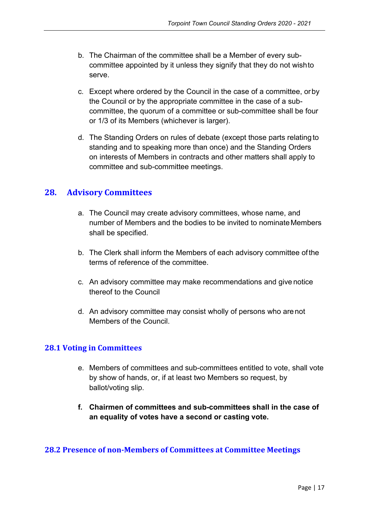- b. The Chairman of the committee shall be a Member of every subcommittee appointed by it unless they signify that they do not wishto serve.
- c. Except where ordered by the Council in the case of a committee, orby the Council or by the appropriate committee in the case of a subcommittee, the quorum of a committee or sub-committee shall be four or 1/3 of its Members (whichever is larger).
- d. The Standing Orders on rules of debate (except those parts relating to standing and to speaking more than once) and the Standing Orders on interests of Members in contracts and other matters shall apply to committee and sub-committee meetings.

#### <span id="page-16-0"></span>**28. Advisory Committees**

- a. The Council may create advisory committees, whose name, and number of Members and the bodies to be invited to nominate Members shall be specified.
- b. The Clerk shall inform the Members of each advisory committee ofthe terms of reference of the committee.
- c. An advisory committee may make recommendations and give notice thereof to the Council
- d. An advisory committee may consist wholly of persons who arenot Members of the Council.

#### **28.1 Voting in Committees**

- e. Members of committees and sub-committees entitled to vote, shall vote by show of hands, or, if at least two Members so request, by ballot/voting slip.
- **f. Chairmen of committees and sub-committees shall in the case of an equality of votes have a second or casting vote.**

#### **28.2 Presence of non-Members of Committees at Committee Meetings**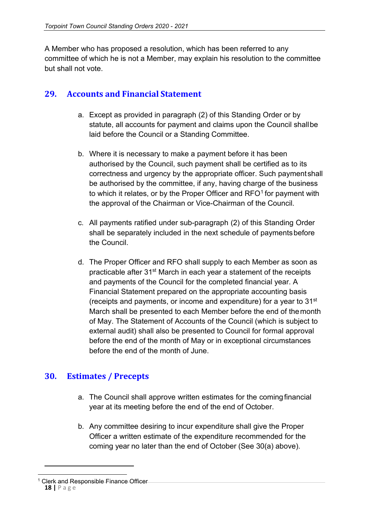A Member who has proposed a resolution, which has been referred to any committee of which he is not a Member, may explain his resolution to the committee but shall not vote.

# <span id="page-17-0"></span>**29. Accounts and Financial Statement**

- a. Except as provided in paragraph (2) of this Standing Order or by statute, all accounts for payment and claims upon the Council shallbe laid before the Council or a Standing Committee.
- b. Where it is necessary to make a payment before it has been authorised by the Council, such payment shall be certified as to its correctness and urgency by the appropriate officer. Such paymentshall be authorised by the committee, if any, having charge of the business to which it relates, or by the Proper Officer and RFO<sup>[1](#page-17-2)</sup> for payment with the approval of the Chairman or Vice-Chairman of the Council.
- c. All payments ratified under sub-paragraph (2) of this Standing Order shall be separately included in the next schedule of paymentsbefore the Council.
- d. The Proper Officer and RFO shall supply to each Member as soon as practicable after 31<sup>st</sup> March in each year a statement of the receipts and payments of the Council for the completed financial year. A Financial Statement prepared on the appropriate accounting basis (receipts and payments, or income and expenditure) for a year to 31st March shall be presented to each Member before the end of themonth of May. The Statement of Accounts of the Council (which is subject to external audit) shall also be presented to Council for formal approval before the end of the month of May or in exceptional circumstances before the end of the month of June.

# <span id="page-17-1"></span>**30. Estimates / Precepts**

- a. The Council shall approve written estimates for the comingfinancial year at its meeting before the end of the end of October.
- b. Any committee desiring to incur expenditure shall give the Proper Officer a written estimate of the expenditure recommended for the coming year no later than the end of October (See 30(a) above).

<span id="page-17-2"></span>**<sup>18</sup> |** P a g e <sup>1</sup> Clerk and Responsible Finance Officer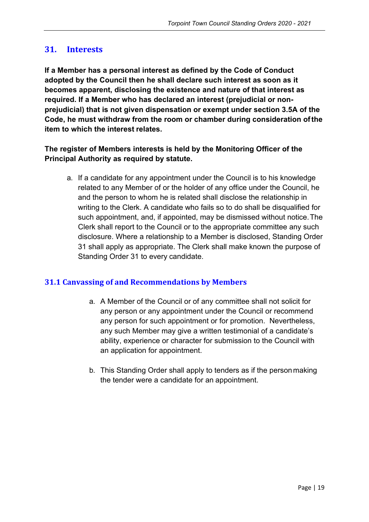#### <span id="page-18-0"></span>**31. Interests**

**If a Member has a personal interest as defined by the Code of Conduct adopted by the Council then he shall declare such interest as soon as it becomes apparent, disclosing the existence and nature of that interest as required. If a Member who has declared an interest (prejudicial or nonprejudicial) that is not given dispensation or exempt under section 3.5A of the Code, he must withdraw from the room or chamber during consideration ofthe item to which the interest relates.**

#### **The register of Members interests is held by the Monitoring Officer of the Principal Authority as required by statute.**

a. If a candidate for any appointment under the Council is to his knowledge related to any Member of or the holder of any office under the Council, he and the person to whom he is related shall disclose the relationship in writing to the Clerk. A candidate who fails so to do shall be disqualified for such appointment, and, if appointed, may be dismissed without notice.The Clerk shall report to the Council or to the appropriate committee any such disclosure. Where a relationship to a Member is disclosed, Standing Order 31 shall apply as appropriate. The Clerk shall make known the purpose of Standing Order 31 to every candidate.

#### **31.1 Canvassing of and Recommendations by Members**

- a. A Member of the Council or of any committee shall not solicit for any person or any appointment under the Council or recommend any person for such appointment or for promotion. Nevertheless, any such Member may give a written testimonial of a candidate's ability, experience or character for submission to the Council with an application for appointment.
- b. This Standing Order shall apply to tenders as if the personmaking the tender were a candidate for an appointment.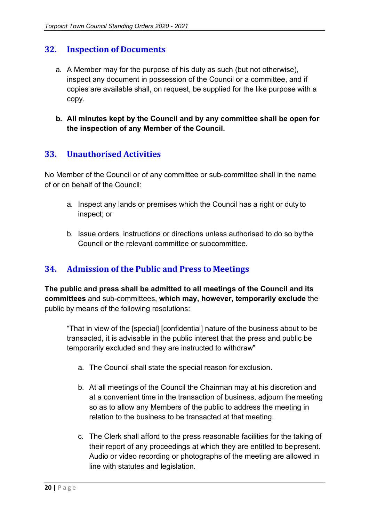# <span id="page-19-0"></span>**32. Inspection of Documents**

- a. A Member may for the purpose of his duty as such (but not otherwise), inspect any document in possession of the Council or a committee, and if copies are available shall, on request, be supplied for the like purpose with a copy.
- **b. All minutes kept by the Council and by any committee shall be open for the inspection of any Member of the Council.**

#### <span id="page-19-1"></span>**33. Unauthorised Activities**

No Member of the Council or of any committee or sub-committee shall in the name of or on behalf of the Council:

- a. Inspect any lands or premises which the Council has a right or duty to inspect; or
- b. Issue orders, instructions or directions unless authorised to do so bythe Council or the relevant committee or subcommittee.

#### <span id="page-19-2"></span>**34. Admission of the Public and Press to Meetings**

**The public and press shall be admitted to all meetings of the Council and its committees** and sub-committees, **which may, however, temporarily exclude** the public by means of the following resolutions:

"That in view of the [special] [confidential] nature of the business about to be transacted, it is advisable in the public interest that the press and public be temporarily excluded and they are instructed to withdraw"

- a. The Council shall state the special reason for exclusion.
- b. At all meetings of the Council the Chairman may at his discretion and at a convenient time in the transaction of business, adjourn themeeting so as to allow any Members of the public to address the meeting in relation to the business to be transacted at that meeting.
- c. The Clerk shall afford to the press reasonable facilities for the taking of their report of any proceedings at which they are entitled to bepresent. Audio or video recording or photographs of the meeting are allowed in line with statutes and legislation.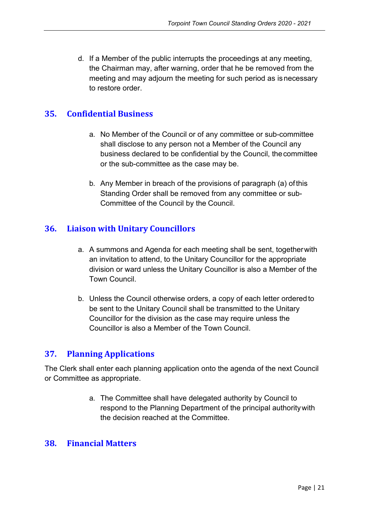d. If a Member of the public interrupts the proceedings at any meeting, the Chairman may, after warning, order that he be removed from the meeting and may adjourn the meeting for such period as is necessary to restore order.

#### <span id="page-20-0"></span>**35. Confidential Business**

- a. No Member of the Council or of any committee or sub-committee shall disclose to any person not a Member of the Council any business declared to be confidential by the Council, thecommittee or the sub-committee as the case may be.
- b. Any Member in breach of the provisions of paragraph (a) ofthis Standing Order shall be removed from any committee or sub-Committee of the Council by the Council.

#### <span id="page-20-1"></span>**36. Liaison with Unitary Councillors**

- a. A summons and Agenda for each meeting shall be sent, togetherwith an invitation to attend, to the Unitary Councillor for the appropriate division or ward unless the Unitary Councillor is also a Member of the Town Council.
- b. Unless the Council otherwise orders, a copy of each letter orderedto be sent to the Unitary Council shall be transmitted to the Unitary Councillor for the division as the case may require unless the Councillor is also a Member of the Town Council.

#### <span id="page-20-2"></span>**37. Planning Applications**

The Clerk shall enter each planning application onto the agenda of the next Council or Committee as appropriate.

> a. The Committee shall have delegated authority by Council to respond to the Planning Department of the principal authoritywith the decision reached at the Committee.

#### <span id="page-20-3"></span>**38. Financial Matters**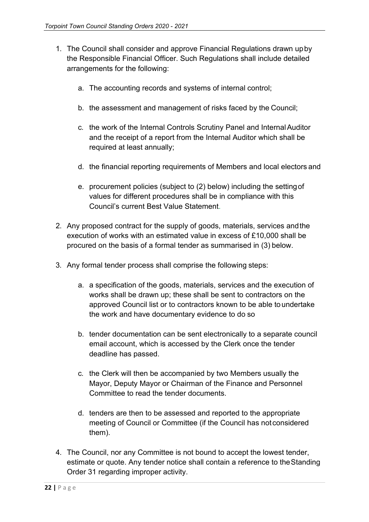- 1. The Council shall consider and approve Financial Regulations drawn upby the Responsible Financial Officer. Such Regulations shall include detailed arrangements for the following:
	- a. The accounting records and systems of internal control;
	- b. the assessment and management of risks faced by the Council;
	- c. the work of the Internal Controls Scrutiny Panel and InternalAuditor and the receipt of a report from the Internal Auditor which shall be required at least annually;
	- d. the financial reporting requirements of Members and local electors and
	- e. procurement policies (subject to (2) below) including the settingof values for different procedures shall be in compliance with this Council's current Best Value Statement.
- 2. Any proposed contract for the supply of goods, materials, services andthe execution of works with an estimated value in excess of £10,000 shall be procured on the basis of a formal tender as summarised in (3) below.
- 3. Any formal tender process shall comprise the following steps:
	- a. a specification of the goods, materials, services and the execution of works shall be drawn up; these shall be sent to contractors on the approved Council list or to contractors known to be able toundertake the work and have documentary evidence to do so
	- b. tender documentation can be sent electronically to a separate council email account, which is accessed by the Clerk once the tender deadline has passed.
	- c. the Clerk will then be accompanied by two Members usually the Mayor, Deputy Mayor or Chairman of the Finance and Personnel Committee to read the tender documents.
	- d. tenders are then to be assessed and reported to the appropriate meeting of Council or Committee (if the Council has notconsidered them).
- 4. The Council, nor any Committee is not bound to accept the lowest tender, estimate or quote. Any tender notice shall contain a reference to theStanding Order 31 regarding improper activity.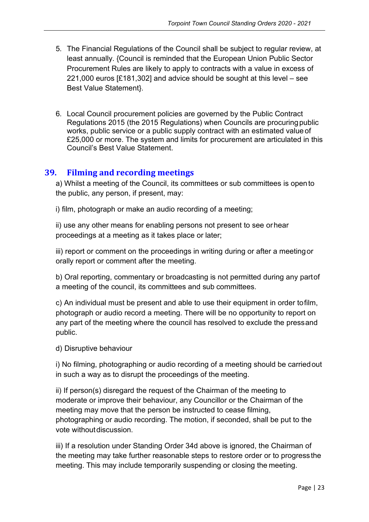- 5. The Financial Regulations of the Council shall be subject to regular review, at least annually. {Council is reminded that the European Union Public Sector Procurement Rules are likely to apply to contracts with a value in excess of 221,000 euros [£181,302] and advice should be sought at this level – see Best Value Statement}.
- 6. Local Council procurement policies are governed by the Public Contract Regulations 2015 (the 2015 Regulations) when Councils are procuringpublic works, public service or a public supply contract with an estimated value of £25,000 or more. The system and limits for procurement are articulated in this Council's Best Value Statement.

#### <span id="page-22-0"></span>**39. Filming and recording meetings**

a) Whilst a meeting of the Council, its committees or sub committees is opento the public, any person, if present, may:

i) film, photograph or make an audio recording of a meeting;

ii) use any other means for enabling persons not present to see orhear proceedings at a meeting as it takes place or later;

iii) report or comment on the proceedings in writing during or after a meetingor orally report or comment after the meeting.

b) Oral reporting, commentary or broadcasting is not permitted during any partof a meeting of the council, its committees and sub committees.

c) An individual must be present and able to use their equipment in order tofilm, photograph or audio record a meeting. There will be no opportunity to report on any part of the meeting where the council has resolved to exclude the pressand public.

d) Disruptive behaviour

i) No filming, photographing or audio recording of a meeting should be carriedout in such a way as to disrupt the proceedings of the meeting.

ii) If person(s) disregard the request of the Chairman of the meeting to moderate or improve their behaviour, any Councillor or the Chairman of the meeting may move that the person be instructed to cease filming, photographing or audio recording. The motion, if seconded, shall be put to the vote withoutdiscussion.

iii) If a resolution under Standing Order 34d above is ignored, the Chairman of the meeting may take further reasonable steps to restore order or to progressthe meeting. This may include temporarily suspending or closing the meeting.